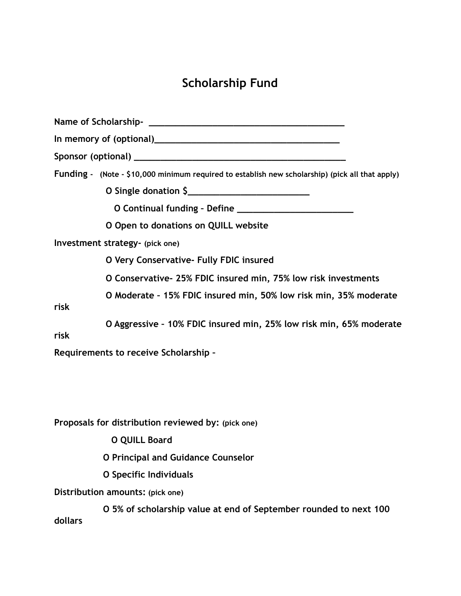## **Scholarship Fund**

| Funding - (Note - \$10,000 minimum required to establish new scholarship) (pick all that apply) |
|-------------------------------------------------------------------------------------------------|
| O Single donation \$                                                                            |
|                                                                                                 |
| O Open to donations on QUILL website                                                            |
| Investment strategy- (pick one)                                                                 |
| O Very Conservative- Fully FDIC insured                                                         |
| O Conservative- 25% FDIC insured min, 75% low risk investments                                  |
| O Moderate - 15% FDIC insured min, 50% low risk min, 35% moderate<br>risk                       |
| O Aggressive - 10% FDIC insured min, 25% low risk min, 65% moderate<br>risk                     |
| Requirements to receive Scholarship -                                                           |
| Proposals for distribution reviewed by: (pick one)                                              |
| <b>O QUILL Board</b>                                                                            |
| <b>O Principal and Guidance Counselor</b>                                                       |
| O Specific Individuals                                                                          |
| Distribution amounts: (pick one)                                                                |
| O 5% of scholarship value at end of September rounded to next 100<br>dollars                    |